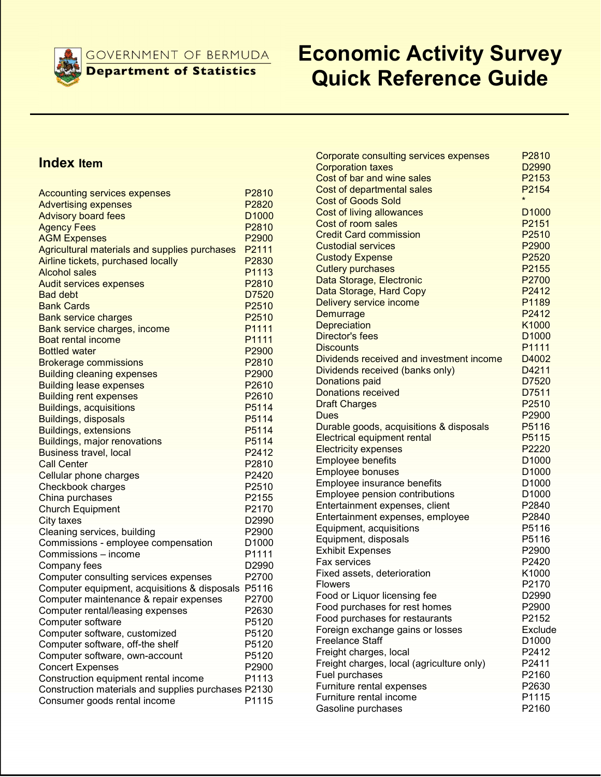**GOVERNMENT OF BERMUDA** 

**Department of Statistics** 

# Economic Activity Survey Quick Reference Guide

### Index Item

| <b>Accounting services expenses</b>                 | P2810             |
|-----------------------------------------------------|-------------------|
| <b>Advertising expenses</b>                         | P <sub>2820</sub> |
| <b>Advisory board fees</b>                          | D <sub>1000</sub> |
| <b>Agency Fees</b>                                  | P2810             |
| <b>AGM Expenses</b>                                 | P2900             |
| Agricultural materials and supplies purchases       | P2111             |
| Airline tickets, purchased locally                  | P2830             |
| <b>Alcohol sales</b>                                | P1113             |
| <b>Audit services expenses</b>                      | P2810             |
| <b>Bad debt</b>                                     | D7520             |
| <b>Bank Cards</b>                                   | P2510             |
| <b>Bank service charges</b>                         | P2510             |
| Bank service charges, income                        | P1111             |
| Boat rental income                                  | P1111             |
| <b>Bottled water</b>                                | P2900             |
| <b>Brokerage commissions</b>                        | P2810             |
| <b>Building cleaning expenses</b>                   | P2900             |
| <b>Building lease expenses</b>                      | P2610             |
| <b>Building rent expenses</b>                       | P2610             |
| <b>Buildings, acquisitions</b>                      | P5114             |
| Buildings, disposals                                | P5114             |
| <b>Buildings, extensions</b>                        | P5114             |
| <b>Buildings, major renovations</b>                 | P5114             |
| <b>Business travel, local</b>                       | P2412             |
| <b>Call Center</b>                                  | P2810             |
| Cellular phone charges                              | P2420             |
| Checkbook charges                                   | P2510             |
| China purchases                                     | P2155             |
| <b>Church Equipment</b>                             | P2170             |
| City taxes                                          | D2990             |
| Cleaning services, building                         | P2900             |
| Commissions - employee compensation                 | D <sub>1000</sub> |
| Commissions - income                                | P1111             |
| Company fees                                        | D2990             |
| Computer consulting services expenses               | P2700             |
| Computer equipment, acquisitions & disposals        | P5116             |
| Computer maintenance & repair expenses              | P2700             |
| Computer rental/leasing expenses                    | P2630             |
| Computer software                                   | P5120             |
| Computer software, customized                       | P5120             |
| Computer software, off-the shelf                    | P5120             |
|                                                     | P5120             |
| Computer software, own-account                      | P2900             |
| <b>Concert Expenses</b>                             | P1113             |
| Construction equipment rental income                |                   |
| Construction materials and supplies purchases P2130 |                   |
| Consumer goods rental income                        | P1115             |

| Corporate consulting services expenses    | P2810             |
|-------------------------------------------|-------------------|
| <b>Corporation taxes</b>                  | D <sub>2990</sub> |
| Cost of bar and wine sales                | P2153             |
| Cost of departmental sales                | P2154             |
| <b>Cost of Goods Sold</b>                 | $\star$           |
| <b>Cost of living allowances</b>          | D <sub>1000</sub> |
| Cost of room sales                        | P2151             |
| <b>Credit Card commission</b>             | P2510             |
| <b>Custodial services</b>                 | P2900             |
| <b>Custody Expense</b>                    | P2520             |
| <b>Cutlery purchases</b>                  | P2155             |
| Data Storage, Electronic                  | P2700             |
| Data Storage, Hard Copy                   | P2412             |
| Delivery service income                   | P1189             |
| Demurrage                                 | P2412             |
| <b>Depreciation</b>                       | K1000             |
| <b>Director's fees</b>                    | D <sub>1000</sub> |
| <b>Discounts</b>                          | P1111             |
| Dividends received and investment income  | D4002             |
| Dividends received (banks only)           | D4211             |
| <b>Donations paid</b>                     | D7520             |
| <b>Donations received</b>                 | D7511             |
| <b>Draft Charges</b>                      | P2510             |
| Dues                                      | P2900             |
| Durable goods, acquisitions & disposals   | P5116             |
| <b>Electrical equipment rental</b>        | P5115             |
| <b>Electricity expenses</b>               | P2220             |
| <b>Employee benefits</b>                  | D <sub>1000</sub> |
| <b>Employee bonuses</b>                   | D <sub>1000</sub> |
| Employee insurance benefits               | D <sub>1000</sub> |
| Employee pension contributions            | D1000             |
| Entertainment expenses, client            | P2840             |
| Entertainment expenses, employee          | P2840             |
| Equipment, acquisitions                   | P5116             |
| Equipment, disposals                      | P5116             |
| <b>Exhibit Expenses</b>                   | P2900             |
| <b>Fax services</b>                       | P2420             |
| Fixed assets, deterioration               | K1000             |
| Flowers                                   | P2170             |
| Food or Liquor licensing fee              | D2990             |
| Food purchases for rest homes             | P2900             |
| Food purchases for restaurants            | P2152             |
| Foreign exchange gains or losses          | Exclude           |
| <b>Freelance Staff</b>                    | D1000             |
| Freight charges, local                    | P2412             |
| Freight charges, local (agriculture only) | P2411             |
| Fuel purchases                            | P2160             |
| Furniture rental expenses                 | P2630             |
| Furniture rental income                   | P1115             |
| Gasoline purchases                        | P2160             |
|                                           |                   |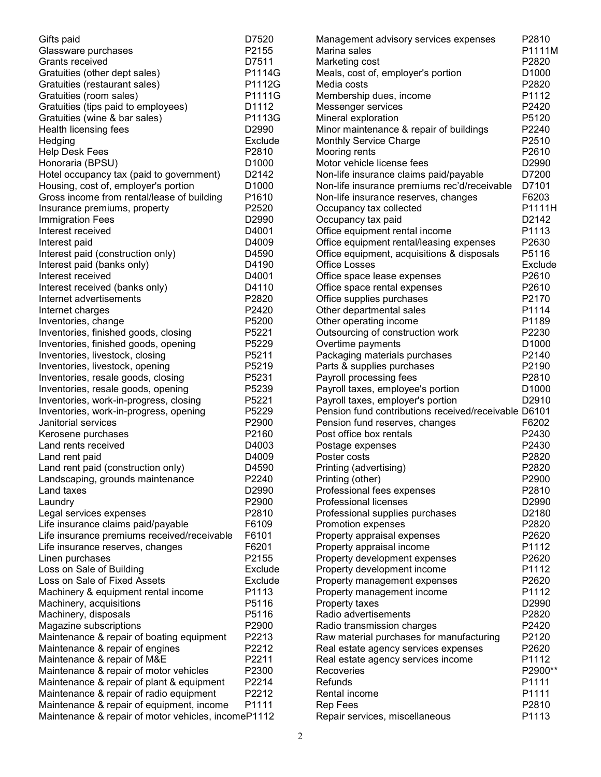| Gifts paid                                          | D7520             | Management advisory services expenses                | P2810   |
|-----------------------------------------------------|-------------------|------------------------------------------------------|---------|
| Glassware purchases                                 | P2155             | Marina sales                                         | P1111M  |
| Grants received                                     | D7511             | Marketing cost                                       | P2820   |
| Gratuities (other dept sales)                       | P1114G            | Meals, cost of, employer's portion                   | D1000   |
| Gratuities (restaurant sales)                       | P1112G            | Media costs                                          | P2820   |
| Gratuities (room sales)                             | P1111G            | Membership dues, income                              | P1112   |
| Gratuities (tips paid to employees)                 | D1112             | Messenger services                                   | P2420   |
| Gratuities (wine & bar sales)                       | P1113G            | Mineral exploration                                  | P5120   |
| Health licensing fees                               | D2990             | Minor maintenance & repair of buildings              | P2240   |
| Hedging                                             | Exclude           | Monthly Service Charge                               | P2510   |
| <b>Help Desk Fees</b>                               | P2810             | Mooring rents                                        | P2610   |
| Honoraria (BPSU)                                    | D1000             | Motor vehicle license fees                           | D2990   |
| Hotel occupancy tax (paid to government)            | D2142             | Non-life insurance claims paid/payable               | D7200   |
| Housing, cost of, employer's portion                | D1000             | Non-life insurance premiums rec'd/receivable         | D7101   |
| Gross income from rental/lease of building          | P1610             | Non-life insurance reserves, changes                 | F6203   |
| Insurance premiums, property                        | P2520             | Occupancy tax collected                              | P1111H  |
| <b>Immigration Fees</b>                             | D <sub>2990</sub> | Occupancy tax paid                                   | D2142   |
| Interest received                                   | D4001             | Office equipment rental income                       | P1113   |
| Interest paid                                       | D4009             | Office equipment rental/leasing expenses             | P2630   |
| Interest paid (construction only)                   | D4590             | Office equipment, acquisitions & disposals           | P5116   |
| Interest paid (banks only)                          | D4190             | <b>Office Losses</b>                                 | Exclude |
| Interest received                                   | D4001             | Office space lease expenses                          | P2610   |
| Interest received (banks only)                      | D4110             | Office space rental expenses                         | P2610   |
| Internet advertisements                             | P2820             | Office supplies purchases                            | P2170   |
| Internet charges                                    | P2420             | Other departmental sales                             | P1114   |
| Inventories, change                                 | P5200             | Other operating income                               | P1189   |
| Inventories, finished goods, closing                | P5221             | Outsourcing of construction work                     | P2230   |
| Inventories, finished goods, opening                | P5229             | Overtime payments                                    | D1000   |
| Inventories, livestock, closing                     | P5211             | Packaging materials purchases                        | P2140   |
| Inventories, livestock, opening                     | P5219             | Parts & supplies purchases                           | P2190   |
| Inventories, resale goods, closing                  | P5231             | Payroll processing fees                              | P2810   |
| Inventories, resale goods, opening                  | P5239             | Payroll taxes, employee's portion                    | D1000   |
| Inventories, work-in-progress, closing              | P5221             | Payroll taxes, employer's portion                    | D2910   |
| Inventories, work-in-progress, opening              | P5229             | Pension fund contributions received/receivable D6101 |         |
| Janitorial services                                 | P2900             | Pension fund reserves, changes                       | F6202   |
| Kerosene purchases                                  | P2160             | Post office box rentals                              | P2430   |
| Land rents received                                 | D4003             | Postage expenses                                     | P2430   |
| Land rent paid                                      | D4009             | Poster costs                                         | P2820   |
| Land rent paid (construction only)                  | D4590             | Printing (advertising)                               | P2820   |
| Landscaping, grounds maintenance                    | P2240             | Printing (other)                                     | P2900   |
| Land taxes                                          | D2990             | Professional fees expenses                           | P2810   |
| Laundry                                             | P2900             | <b>Professional licenses</b>                         | D2990   |
| Legal services expenses                             | P2810             | Professional supplies purchases                      | D2180   |
| Life insurance claims paid/payable                  | F6109             | Promotion expenses                                   | P2820   |
| Life insurance premiums received/receivable         | F6101             | Property appraisal expenses                          | P2620   |
| Life insurance reserves, changes                    | F6201             | Property appraisal income                            | P1112   |
| Linen purchases                                     | P2155             | Property development expenses                        | P2620   |
| Loss on Sale of Building                            | Exclude           | Property development income                          | P1112   |
| Loss on Sale of Fixed Assets                        | Exclude           | Property management expenses                         | P2620   |
| Machinery & equipment rental income                 | P1113             | Property management income                           | P1112   |
| Machinery, acquisitions                             | P5116             | Property taxes                                       | D2990   |
| Machinery, disposals                                | P5116             | Radio advertisements                                 | P2820   |
| Magazine subscriptions                              | P2900             | Radio transmission charges                           | P2420   |
| Maintenance & repair of boating equipment           | P2213             | Raw material purchases for manufacturing             | P2120   |
| Maintenance & repair of engines                     | P2212             | Real estate agency services expenses                 | P2620   |
| Maintenance & repair of M&E                         | P2211             | Real estate agency services income                   | P1112   |
| Maintenance & repair of motor vehicles              | P2300             | Recoveries                                           | P2900** |
| Maintenance & repair of plant & equipment           | P2214             | Refunds                                              | P1111   |
| Maintenance & repair of radio equipment             | P2212             | Rental income                                        | P1111   |
| Maintenance & repair of equipment, income           | P1111             | <b>Rep Fees</b>                                      | P2810   |
| Maintenance & repair of motor vehicles, incomeP1112 |                   | Repair services, miscellaneous                       | P1113   |
|                                                     |                   |                                                      |         |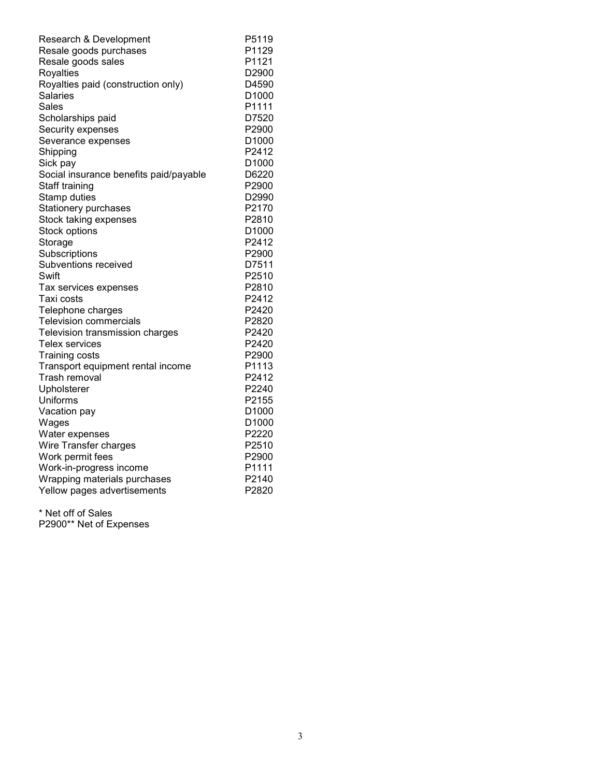| Research & Development                 | P5119             |
|----------------------------------------|-------------------|
| Resale goods purchases                 | P1129             |
| Resale goods sales                     | P1121             |
| Royalties                              | D2900             |
| Royalties paid (construction only)     | D4590             |
| Salaries                               | D <sub>1000</sub> |
| Sales                                  | P1111             |
| Scholarships paid                      | D7520             |
| Security expenses                      | P2900             |
| Severance expenses                     | D <sub>1000</sub> |
| Shipping                               | P2412             |
| Sick pay                               | D <sub>1000</sub> |
| Social insurance benefits paid/payable | D6220             |
| Staff training                         | P2900             |
| Stamp duties                           | D2990             |
| Stationery purchases                   | P2170             |
| Stock taking expenses                  | P2810             |
| Stock options                          | D1000             |
| Storage                                | P2412             |
| Subscriptions                          | P2900             |
| Subventions received                   | D7511             |
| Swift                                  | P2510             |
| Tax services expenses                  | P2810             |
| Taxi costs                             | P2412             |
| Telephone charges                      | P2420             |
| <b>Television commercials</b>          | P2820             |
| Television transmission charges        | P2420             |
| Telex services                         | P <sub>2420</sub> |
| <b>Training costs</b>                  | P <sub>2900</sub> |
| Transport equipment rental income      | P1113             |
| Trash removal                          | P2412             |
| Upholsterer                            | P2240             |
| Uniforms                               | P2155             |
| Vacation pay                           | D <sub>1000</sub> |
| Wages                                  | D1000             |
| Water expenses                         | P2220             |
| Wire Transfer charges                  | P2510             |
| Work permit fees                       | P2900             |
| Work-in-progress income                | P1111             |
| Wrapping materials purchases           | P2140             |
| Yellow pages advertisements            | P2820             |

\* Net off of Sales P2900\*\* Net of Expenses